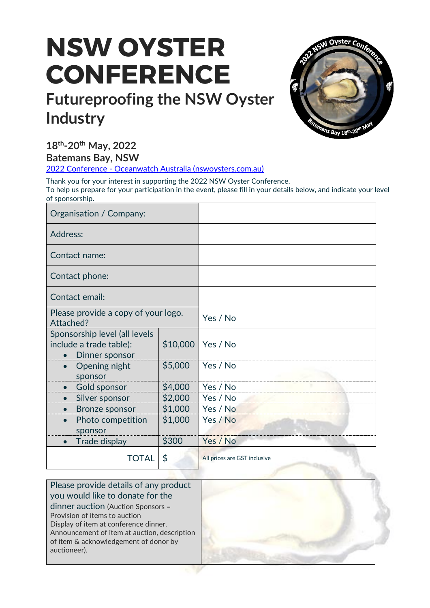# **NSW OYSTER CONFERENCE**

## **Futureproofing the NSW Oyster Industry**



**18 th -20th May, 2022**

**Batemans Bay, NSW**

2022 Conference - [Oceanwatch Australia \(nswoysters.com.au\)](https://www.nswoysters.com.au/2022conference.html)

Thank you for your interest in supporting the 2022 NSW Oyster Conference. To help us prepare for your participation in the event, please fill in your details below, and indicate your level of sponsorship.

| Organisation / Company:                                                    |          |                              |
|----------------------------------------------------------------------------|----------|------------------------------|
| Address:                                                                   |          |                              |
| Contact name:                                                              |          |                              |
| Contact phone:                                                             |          |                              |
| Contact email:                                                             |          |                              |
| Please provide a copy of your logo.<br>Attached?                           |          | Yes / No                     |
| Sponsorship level (all levels<br>include a trade table):<br>Dinner sponsor | \$10,000 | Yes / No                     |
| Opening night<br>sponsor                                                   | \$5,000  | Yes / No                     |
| Gold sponsor                                                               | \$4,000  | Yes / No                     |
| • Silver sponsor                                                           | \$2,000  | Yes / No                     |
| <b>Bronze sponsor</b><br>$\bullet$                                         | \$1,000  | Yes / No                     |
| Photo competition                                                          | \$1,000  | Yes / No                     |
| sponsor                                                                    |          |                              |
| Trade display<br>$\bullet$                                                 | \$300    | Yes / No                     |
| TOTAL                                                                      | \$       | All prices are GST inclusive |

Please provide details of any product you would like to donate for the dinner auction (Auction Sponsors = Provision of items to auction Display of item at conference dinner. Announcement of item at auction, description of item & acknowledgement of donor by auctioneer).